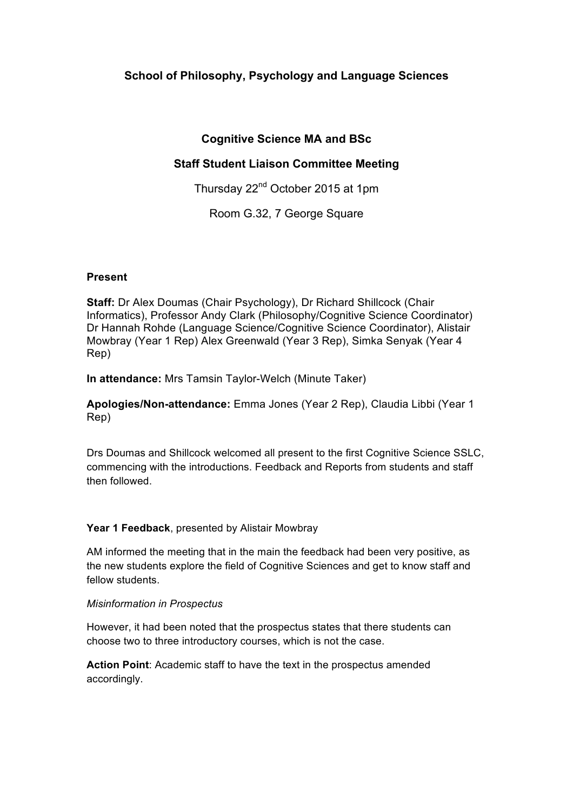# **School of Philosophy, Psychology and Language Sciences**

# **Cognitive Science MA and BSc**

# **Staff Student Liaison Committee Meeting**

Thursday 22<sup>nd</sup> October 2015 at 1pm

Room G.32, 7 George Square

## **Present**

**Staff:** Dr Alex Doumas (Chair Psychology), Dr Richard Shillcock (Chair Informatics), Professor Andy Clark (Philosophy/Cognitive Science Coordinator) Dr Hannah Rohde (Language Science/Cognitive Science Coordinator), Alistair Mowbray (Year 1 Rep) Alex Greenwald (Year 3 Rep), Simka Senyak (Year 4 Rep)

**In attendance:** Mrs Tamsin Taylor-Welch (Minute Taker)

**Apologies/Non-attendance:** Emma Jones (Year 2 Rep), Claudia Libbi (Year 1 Rep)

Drs Doumas and Shillcock welcomed all present to the first Cognitive Science SSLC, commencing with the introductions. Feedback and Reports from students and staff then followed.

## **Year 1 Feedback**, presented by Alistair Mowbray

AM informed the meeting that in the main the feedback had been very positive, as the new students explore the field of Cognitive Sciences and get to know staff and fellow students.

## *Misinformation in Prospectus*

However, it had been noted that the prospectus states that there students can choose two to three introductory courses, which is not the case.

**Action Point**: Academic staff to have the text in the prospectus amended accordingly.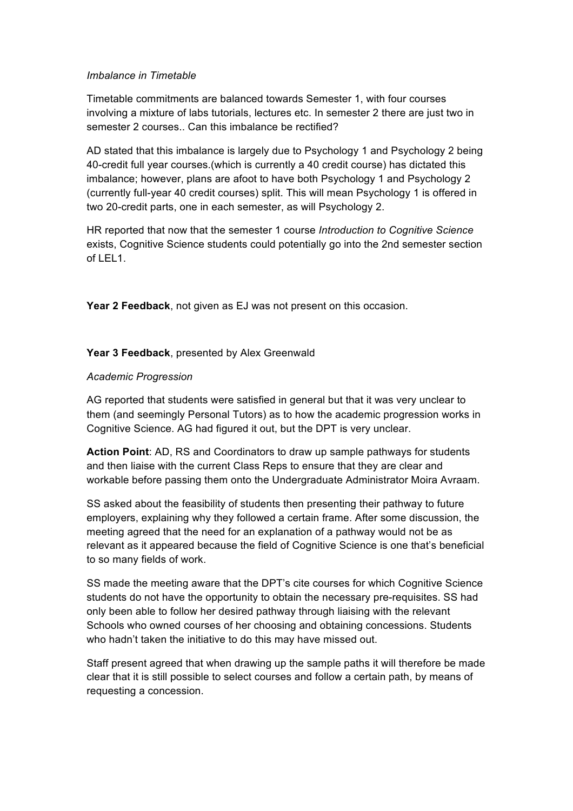## *Imbalance in Timetable*

Timetable commitments are balanced towards Semester 1, with four courses involving a mixture of labs tutorials, lectures etc. In semester 2 there are just two in semester 2 courses.. Can this imbalance be rectified?

AD stated that this imbalance is largely due to Psychology 1 and Psychology 2 being 40-credit full year courses.(which is currently a 40 credit course) has dictated this imbalance; however, plans are afoot to have both Psychology 1 and Psychology 2 (currently full-year 40 credit courses) split. This will mean Psychology 1 is offered in two 20-credit parts, one in each semester, as will Psychology 2.

HR reported that now that the semester 1 course *Introduction to Cognitive Science* exists, Cognitive Science students could potentially go into the 2nd semester section of LEL1.

**Year 2 Feedback**, not given as EJ was not present on this occasion.

#### **Year 3 Feedback**, presented by Alex Greenwald

#### *Academic Progression*

AG reported that students were satisfied in general but that it was very unclear to them (and seemingly Personal Tutors) as to how the academic progression works in Cognitive Science. AG had figured it out, but the DPT is very unclear.

**Action Point**: AD, RS and Coordinators to draw up sample pathways for students and then liaise with the current Class Reps to ensure that they are clear and workable before passing them onto the Undergraduate Administrator Moira Avraam.

SS asked about the feasibility of students then presenting their pathway to future employers, explaining why they followed a certain frame. After some discussion, the meeting agreed that the need for an explanation of a pathway would not be as relevant as it appeared because the field of Cognitive Science is one that's beneficial to so many fields of work.

SS made the meeting aware that the DPT's cite courses for which Cognitive Science students do not have the opportunity to obtain the necessary pre-requisites. SS had only been able to follow her desired pathway through liaising with the relevant Schools who owned courses of her choosing and obtaining concessions. Students who hadn't taken the initiative to do this may have missed out.

Staff present agreed that when drawing up the sample paths it will therefore be made clear that it is still possible to select courses and follow a certain path, by means of requesting a concession.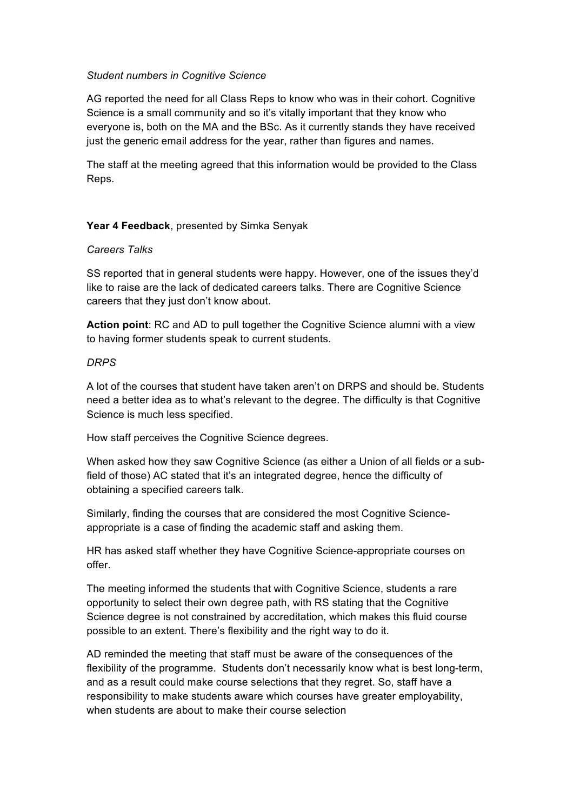### *Student numbers in Cognitive Science*

AG reported the need for all Class Reps to know who was in their cohort. Cognitive Science is a small community and so it's vitally important that they know who everyone is, both on the MA and the BSc. As it currently stands they have received just the generic email address for the year, rather than figures and names.

The staff at the meeting agreed that this information would be provided to the Class Reps.

#### **Year 4 Feedback**, presented by Simka Senyak

#### *Careers Talks*

SS reported that in general students were happy. However, one of the issues they'd like to raise are the lack of dedicated careers talks. There are Cognitive Science careers that they just don't know about.

**Action point**: RC and AD to pull together the Cognitive Science alumni with a view to having former students speak to current students.

#### *DRPS*

A lot of the courses that student have taken aren't on DRPS and should be. Students need a better idea as to what's relevant to the degree. The difficulty is that Cognitive Science is much less specified.

How staff perceives the Cognitive Science degrees.

When asked how they saw Cognitive Science (as either a Union of all fields or a subfield of those) AC stated that it's an integrated degree, hence the difficulty of obtaining a specified careers talk.

Similarly, finding the courses that are considered the most Cognitive Scienceappropriate is a case of finding the academic staff and asking them.

HR has asked staff whether they have Cognitive Science-appropriate courses on offer.

The meeting informed the students that with Cognitive Science, students a rare opportunity to select their own degree path, with RS stating that the Cognitive Science degree is not constrained by accreditation, which makes this fluid course possible to an extent. There's flexibility and the right way to do it.

AD reminded the meeting that staff must be aware of the consequences of the flexibility of the programme. Students don't necessarily know what is best long-term, and as a result could make course selections that they regret. So, staff have a responsibility to make students aware which courses have greater employability, when students are about to make their course selection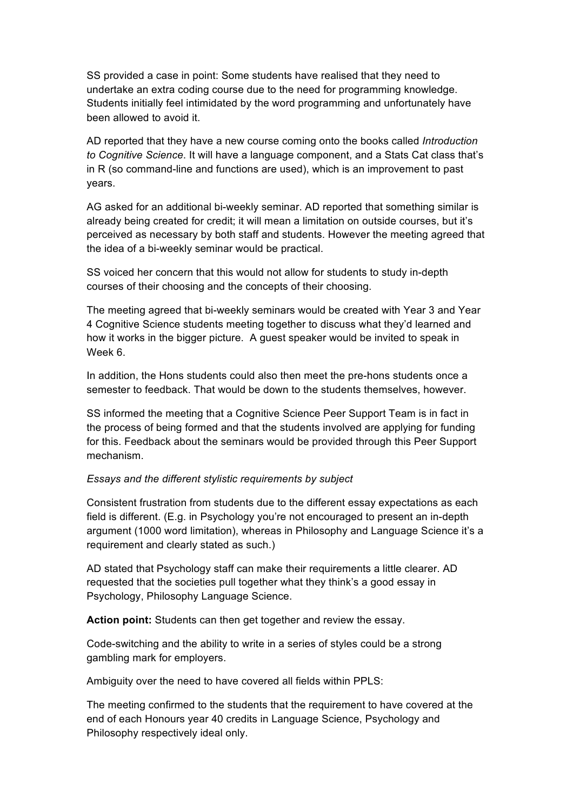SS provided a case in point: Some students have realised that they need to undertake an extra coding course due to the need for programming knowledge. Students initially feel intimidated by the word programming and unfortunately have been allowed to avoid it.

AD reported that they have a new course coming onto the books called *Introduction to Cognitive Science*. It will have a language component, and a Stats Cat class that's in R (so command-line and functions are used), which is an improvement to past years.

AG asked for an additional bi-weekly seminar. AD reported that something similar is already being created for credit; it will mean a limitation on outside courses, but it's perceived as necessary by both staff and students. However the meeting agreed that the idea of a bi-weekly seminar would be practical.

SS voiced her concern that this would not allow for students to study in-depth courses of their choosing and the concepts of their choosing.

The meeting agreed that bi-weekly seminars would be created with Year 3 and Year 4 Cognitive Science students meeting together to discuss what they'd learned and how it works in the bigger picture. A guest speaker would be invited to speak in Week 6.

In addition, the Hons students could also then meet the pre-hons students once a semester to feedback. That would be down to the students themselves, however.

SS informed the meeting that a Cognitive Science Peer Support Team is in fact in the process of being formed and that the students involved are applying for funding for this. Feedback about the seminars would be provided through this Peer Support mechanism.

### *Essays and the different stylistic requirements by subject*

Consistent frustration from students due to the different essay expectations as each field is different. (E.g. in Psychology you're not encouraged to present an in-depth argument (1000 word limitation), whereas in Philosophy and Language Science it's a requirement and clearly stated as such.)

AD stated that Psychology staff can make their requirements a little clearer. AD requested that the societies pull together what they think's a good essay in Psychology, Philosophy Language Science.

**Action point:** Students can then get together and review the essay.

Code-switching and the ability to write in a series of styles could be a strong gambling mark for employers.

Ambiguity over the need to have covered all fields within PPLS:

The meeting confirmed to the students that the requirement to have covered at the end of each Honours year 40 credits in Language Science, Psychology and Philosophy respectively ideal only.